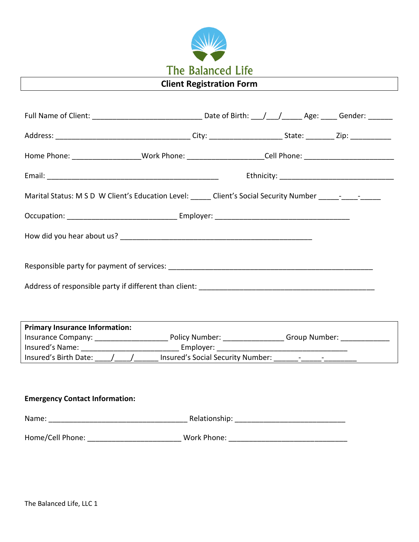

| Home Phone: _____________________Work Phone: _____________________Cell Phone: ___________________________   |  |  |
|-------------------------------------------------------------------------------------------------------------|--|--|
|                                                                                                             |  |  |
| Marital Status: M S D W Client's Education Level: _____ Client's Social Security Number ______- ____- _____ |  |  |
|                                                                                                             |  |  |
|                                                                                                             |  |  |
|                                                                                                             |  |  |
|                                                                                                             |  |  |
|                                                                                                             |  |  |
| <b>Primary Insurance Information:</b>                                                                       |  |  |
|                                                                                                             |  |  |
|                                                                                                             |  |  |
| Insured's Birth Date: \______________________ Insured's Social Security Number: \_________________________  |  |  |
| <b>Emergency Contact Information:</b>                                                                       |  |  |
|                                                                                                             |  |  |
|                                                                                                             |  |  |
|                                                                                                             |  |  |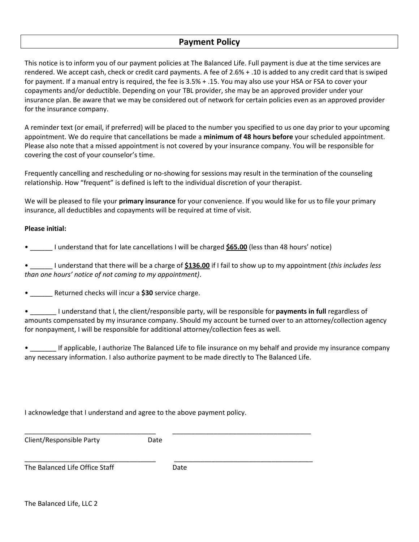# **Payment Policy**

This notice is to inform you of our payment policies at The Balanced Life. Full payment is due at the time services are rendered. We accept cash, check or credit card payments. A fee of 2.6% + .10 is added to any credit card that is swiped for payment. If a manual entry is required, the fee is 3.5% + .15. You may also use your HSA or FSA to cover your copayments and/or deductible. Depending on your TBL provider, she may be an approved provider under your insurance plan. Be aware that we may be considered out of network for certain policies even as an approved provider for the insurance company.

A reminder text (or email, if preferred) will be placed to the number you specified to us one day prior to your upcoming appointment. We do require that cancellations be made a **minimum of 48 hours before** your scheduled appointment. Please also note that a missed appointment is not covered by your insurance company. You will be responsible for covering the cost of your counselor's time.

Frequently cancelling and rescheduling or no-showing for sessions may result in the termination of the counseling relationship. How "frequent" is defined is left to the individual discretion of your therapist.

We will be pleased to file your **primary insurance** for your convenience. If you would like for us to file your primary insurance, all deductibles and copayments will be required at time of visit.

## **Please initial:**

• \_\_\_\_\_\_ I understand that for late cancellations I will be charged **\$65.00** (less than 48 hours' notice)

• \_\_\_\_\_\_ I understand that there will be a charge of **\$136.00** if I fail to show up to my appointment (*this includes less than one hours' notice of not coming to my appointment)*.

• \_\_\_\_\_\_ Returned checks will incur a **\$30** service charge.

• \_\_\_\_\_\_\_ I understand that I, the client/responsible party, will be responsible for **payments in full** regardless of amounts compensated by my insurance company. Should my account be turned over to an attorney/collection agency for nonpayment, I will be responsible for additional attorney/collection fees as well.

If applicable, I authorize The Balanced Life to file insurance on my behalf and provide my insurance company any necessary information. I also authorize payment to be made directly to The Balanced Life.

I acknowledge that I understand and agree to the above payment policy.

| Client/Responsible Party       | Date |      |
|--------------------------------|------|------|
| The Balanced Life Office Staff |      | Date |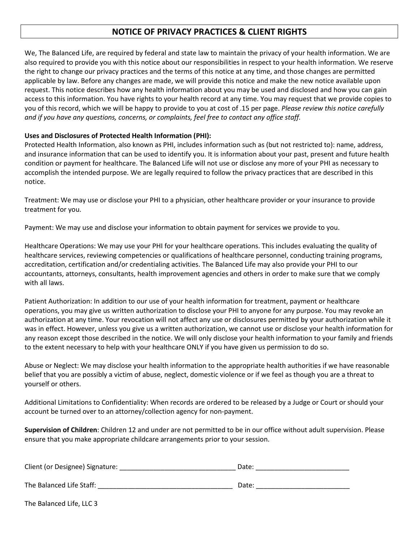# **NOTICE OF PRIVACY PRACTICES & CLIENT RIGHTS**

We, The Balanced Life, are required by federal and state law to maintain the privacy of your health information. We are also required to provide you with this notice about our responsibilities in respect to your health information. We reserve the right to change our privacy practices and the terms of this notice at any time, and those changes are permitted applicable by law. Before any changes are made, we will provide this notice and make the new notice available upon request. This notice describes how any health information about you may be used and disclosed and how you can gain access to this information. You have rights to your health record at any time. You may request that we provide copies to you of this record, which we will be happy to provide to you at cost of .15 per page. *Please review this notice carefully and if you have any questions, concerns, or complaints, feel free to contact any office staff.* 

# **Uses and Disclosures of Protected Health Information (PHI):**

Protected Health Information, also known as PHI, includes information such as (but not restricted to): name, address, and insurance information that can be used to identify you. It is information about your past, present and future health condition or payment for healthcare. The Balanced Life will not use or disclose any more of your PHI as necessary to accomplish the intended purpose. We are legally required to follow the privacy practices that are described in this notice.

Treatment: We may use or disclose your PHI to a physician, other healthcare provider or your insurance to provide treatment for you.

Payment: We may use and disclose your information to obtain payment for services we provide to you.

Healthcare Operations: We may use your PHI for your healthcare operations. This includes evaluating the quality of healthcare services, reviewing competencies or qualifications of healthcare personnel, conducting training programs, accreditation, certification and/or credentialing activities. The Balanced Life may also provide your PHI to our accountants, attorneys, consultants, health improvement agencies and others in order to make sure that we comply with all laws.

Patient Authorization: In addition to our use of your health information for treatment, payment or healthcare operations, you may give us written authorization to disclose your PHI to anyone for any purpose. You may revoke an authorization at any time. Your revocation will not affect any use or disclosures permitted by your authorization while it was in effect. However, unless you give us a written authorization, we cannot use or disclose your health information for any reason except those described in the notice. We will only disclose your health information to your family and friends to the extent necessary to help with your healthcare ONLY if you have given us permission to do so.

Abuse or Neglect: We may disclose your health information to the appropriate health authorities if we have reasonable belief that you are possibly a victim of abuse, neglect, domestic violence or if we feel as though you are a threat to yourself or others.

Additional Limitations to Confidentiality: When records are ordered to be released by a Judge or Court or should your account be turned over to an attorney/collection agency for non-payment.

**Supervision of Children**: Children 12 and under are not permitted to be in our office without adult supervision. Please ensure that you make appropriate childcare arrangements prior to your session.

| Client (or Designee) Signature: | Date: |  |
|---------------------------------|-------|--|
| The Balanced Life Staff:        | Date: |  |

The Balanced Life, LLC 3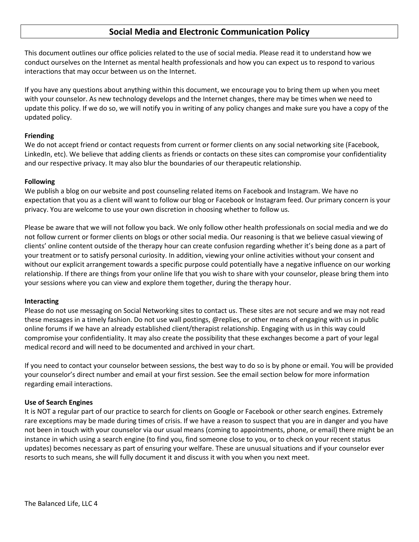# **Social Media and Electronic Communication Policy**

This document outlines our office policies related to the use of social media. Please read it to understand how we conduct ourselves on the Internet as mental health professionals and how you can expect us to respond to various interactions that may occur between us on the Internet.

If you have any questions about anything within this document, we encourage you to bring them up when you meet with your counselor. As new technology develops and the Internet changes, there may be times when we need to update this policy. If we do so, we will notify you in writing of any policy changes and make sure you have a copy of the updated policy.

## **Friending**

We do not accept friend or contact requests from current or former clients on any social networking site (Facebook, LinkedIn, etc). We believe that adding clients as friends or contacts on these sites can compromise your confidentiality and our respective privacy. It may also blur the boundaries of our therapeutic relationship.

#### **Following**

We publish a blog on our website and post counseling related items on Facebook and Instagram. We have no expectation that you as a client will want to follow our blog or Facebook or Instagram feed. Our primary concern is your privacy. You are welcome to use your own discretion in choosing whether to follow us.

Please be aware that we will not follow you back. We only follow other health professionals on social media and we do not follow current or former clients on blogs or other social media. Our reasoning is that we believe casual viewing of clients' online content outside of the therapy hour can create confusion regarding whether it's being done as a part of your treatment or to satisfy personal curiosity. In addition, viewing your online activities without your consent and without our explicit arrangement towards a specific purpose could potentially have a negative influence on our working relationship. If there are things from your online life that you wish to share with your counselor, please bring them into your sessions where you can view and explore them together, during the therapy hour.

#### **Interacting**

Please do not use messaging on Social Networking sites to contact us. These sites are not secure and we may not read these messages in a timely fashion. Do not use wall postings, @replies, or other means of engaging with us in public online forums if we have an already established client/therapist relationship. Engaging with us in this way could compromise your confidentiality. It may also create the possibility that these exchanges become a part of your legal medical record and will need to be documented and archived in your chart.

If you need to contact your counselor between sessions, the best way to do so is by phone or email. You will be provided your counselor's direct number and email at your first session. See the email section below for more information regarding email interactions.

## **Use of Search Engines**

It is NOT a regular part of our practice to search for clients on Google or Facebook or other search engines. Extremely rare exceptions may be made during times of crisis. If we have a reason to suspect that you are in danger and you have not been in touch with your counselor via our usual means (coming to appointments, phone, or email) there might be an instance in which using a search engine (to find you, find someone close to you, or to check on your recent status updates) becomes necessary as part of ensuring your welfare. These are unusual situations and if your counselor ever resorts to such means, she will fully document it and discuss it with you when you next meet.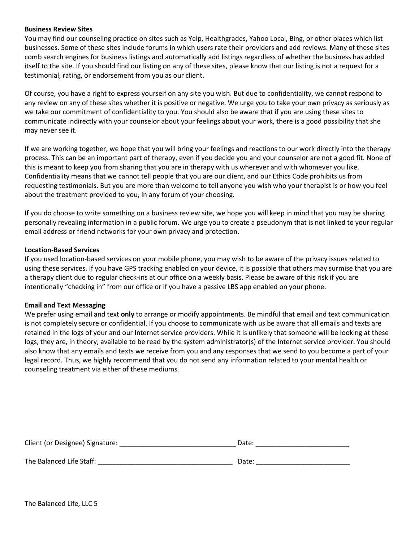#### **Business Review Sites**

You may find our counseling practice on sites such as Yelp, Healthgrades, Yahoo Local, Bing, or other places which list businesses. Some of these sites include forums in which users rate their providers and add reviews. Many of these sites comb search engines for business listings and automatically add listings regardless of whether the business has added itself to the site. If you should find our listing on any of these sites, please know that our listing is not a request for a testimonial, rating, or endorsement from you as our client.

Of course, you have a right to express yourself on any site you wish. But due to confidentiality, we cannot respond to any review on any of these sites whether it is positive or negative. We urge you to take your own privacy as seriously as we take our commitment of confidentiality to you. You should also be aware that if you are using these sites to communicate indirectly with your counselor about your feelings about your work, there is a good possibility that she may never see it.

If we are working together, we hope that you will bring your feelings and reactions to our work directly into the therapy process. This can be an important part of therapy, even if you decide you and your counselor are not a good fit. None of this is meant to keep you from sharing that you are in therapy with us wherever and with whomever you like. Confidentiality means that we cannot tell people that you are our client, and our Ethics Code prohibits us from requesting testimonials. But you are more than welcome to tell anyone you wish who your therapist is or how you feel about the treatment provided to you, in any forum of your choosing.

If you do choose to write something on a business review site, we hope you will keep in mind that you may be sharing personally revealing information in a public forum. We urge you to create a pseudonym that is not linked to your regular email address or friend networks for your own privacy and protection.

#### **Location-Based Services**

If you used location-based services on your mobile phone, you may wish to be aware of the privacy issues related to using these services. If you have GPS tracking enabled on your device, it is possible that others may surmise that you are a therapy client due to regular check-ins at our office on a weekly basis. Please be aware of this risk if you are intentionally "checking in" from our office or if you have a passive LBS app enabled on your phone.

## **Email and Text Messaging**

We prefer using email and text **only** to arrange or modify appointments. Be mindful that email and text communication is not completely secure or confidential. If you choose to communicate with us be aware that all emails and texts are retained in the logs of your and our Internet service providers. While it is unlikely that someone will be looking at these logs, they are, in theory, available to be read by the system administrator(s) of the Internet service provider. You should also know that any emails and texts we receive from you and any responses that we send to you become a part of your legal record. Thus, we highly recommend that you do not send any information related to your mental health or counseling treatment via either of these mediums.

| Client (or Designee) Signature: | Date: |
|---------------------------------|-------|
|                                 |       |
| The Balanced Life Staff:        | Date: |